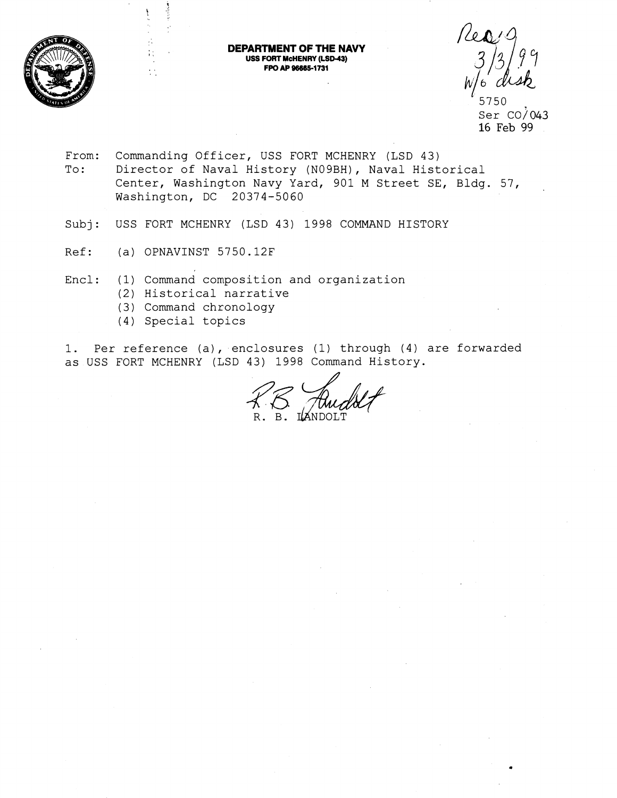

#### **DEPARTMENT OF THE NAVY USS FORT McHENRY (LSD-43)**  FPO AP 96665-1731

\* 5750 Ser  $CO/043$ 16 Feb 99

- From: Commanding Officer, USS FORT MCHENRY (LSD 43) To: Director of Naval History (NOgBH), Naval Historical Center, Washington Navy Yard, 901 M Street SE, Bldg. 57, Washington, DC 20374-5060
- Subj: USS FORT MCHENRY (LSD 43) 1998 COMMAND HISTORY
- Ref: (a) OPNAVINST 5750.12F

 $\mathcal{L}_{\rm{max}}$ *8,* 

. ,

- Encl: (1) Command composition and organization
	- (2) Historical narrative
	- (3) Command chronology
	- (4) Special topics

1. Per reference (a), enclosures (1) through (4) are forwarded as USS FORT MCHENRY (LSD 43) 1998 Command History.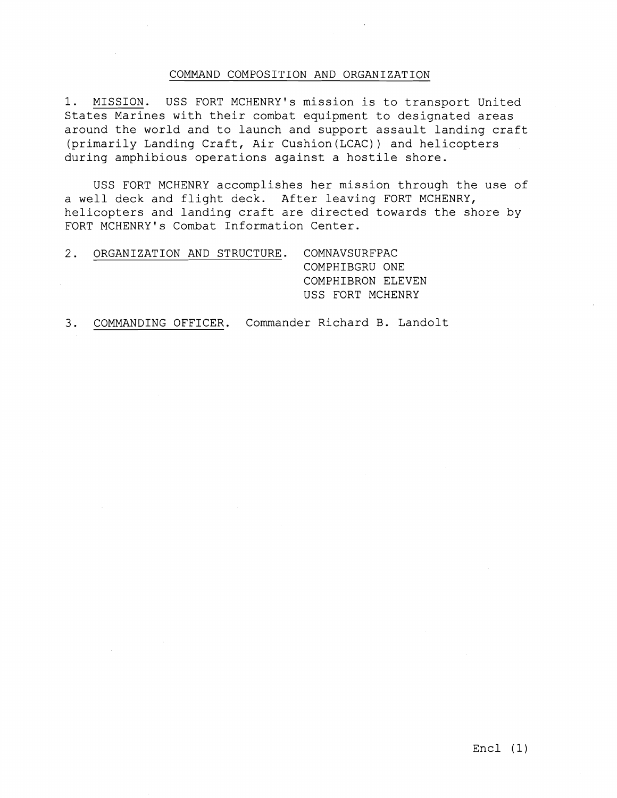### COMMAND COMPOSITION AND ORGANIZATION

1. MISSION. USS FORT MCHENRY's mission is to transport United States Marines with their combat equipment to designated areas around the world and to launch and support assault landing craft (primarily Landing Craft, Air Cushion(LCAC)) and helicopters during amphibious operations against a hostile shore.

USS FORT MCHENRY accomplishes her mission through the use of a well deck and flight deck. After leaving FORT MCHENRY, helicopters and landing craft are directed towards the shore by FORT MCHENRY's Combat Information Center.

2. ORGANIZATION AND STRUCTURE. COMNAVSURFPAC COMPHIBGRU ONE COMPHIBRON ELEVEN USS FORT MCHENRY

3. COMMANDING OFFICER. Commander Richard B. Landolt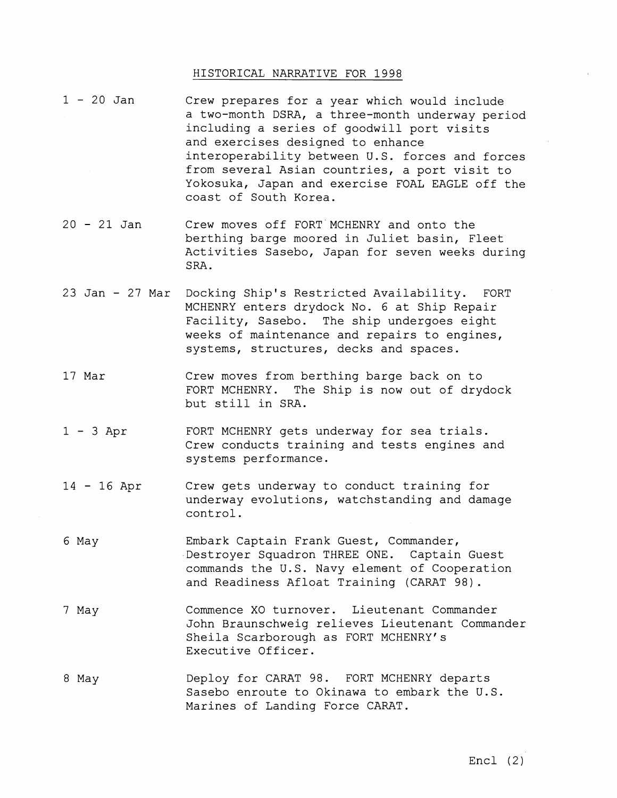## HISTORICAL NARRATIVE FOR 1998

- $1 20$  Jan Crew prepares for a year which would include a two-month DSRA, a three-month underway period including a series of goodwill port visits and exercises designed to enhance interoperability between U.S. forces and forces from several Asian countries, a port visit to Yokosuka, Japan and exercise FOAL EAGLE off the coast of South Korea.
- <sup>20</sup> 21 Jan Crew moves off FORT MCHENRY and onto the berthing barge moored in Juliet basin, Fleet Activities Sasebo, Japan for seven weeks during SRA.
- 23 Jan 27 Mar Docking Ship's Restricted Availability. FORT MCHENRY enters drydock No. 6 at Ship Repair Facility, Sasebo. The ship undergoes eight weeks of maintenance and repairs to engines, systems, structures, decks and spaces.
- 17 Mar Crew moves from berthing barge back on to FORT MCHENRY. The Ship is now out of drydock but still in SRA.
- <sup>1</sup> 3 Apr FORT MCHENRY gets underway for sea trials. Crew conducts training and tests engines and systems performance.
- <sup>14</sup> 16 Apr Crew gets underway to conduct training for underway evolutions, watchstanding and damage control.
- 6 May Embark Captain Frank Guest, Commander, Destroyer Squadron THREE ONE. Captain Guest commands the U.S. Navy element of Cooperation and Readiness Afloat Training (CARAT 98).
- 7 May Commence XO turnover. Lieutenant Commander John Braunschweig relieves Lieutenant Commander Sheila Scarborough as FORT MCHENRY's Executive Officer.
- 8 May Deploy for CARAT 98. FORT MCHENRY departs Sasebo enroute to Okinawa to embark the U.S. Marines of Landing Force CARAT.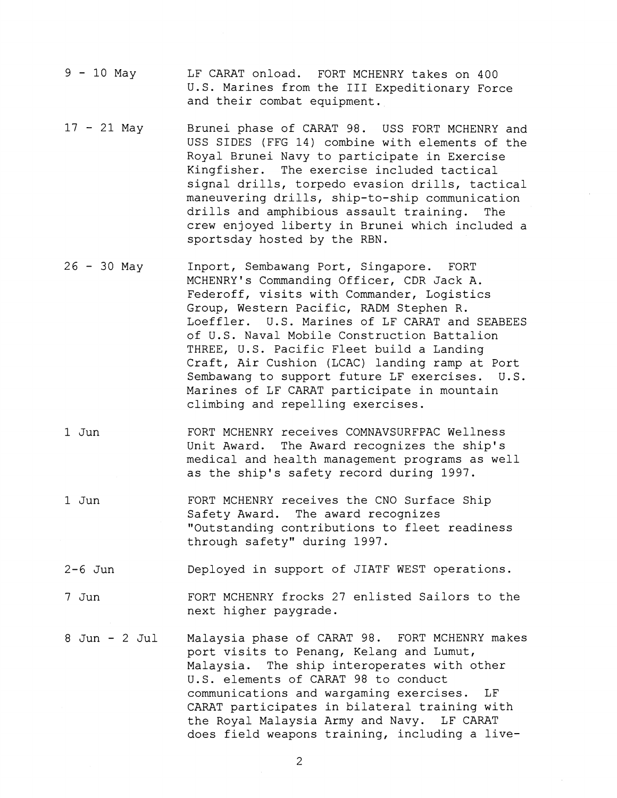- $9 10$  May LF CARAT onload. FORT MCHENRY takes on 400 U.S. Marines from the I11 Expeditionary Force and their combat equipment.
- $17 21$  May Brunei phase of CARAT 98. USS FORT MCHENRY and USS SIDES (FFG 14) combine with elements of the Royal Brunei Navy to participate in Exercise Kingfisher. The exercise included tactical signal drills, torpedo evasion drills, tactical maneuvering drills, ship-to-ship communication drills and amphibious assault training. The crew enjoyed liberty in Brunei which included a sportsday hosted by the RBN.
- $26 30$  May Inport, Sembawang Port, Singapore. FORT MCHENRY1s Commanding Officer, CDR Jack A. Federoff, visits with Commander, Logistics Group, Western Pacific, RADM Stephen R. Loeffler. U.S. Marines of LF CARAT and SEABEES of U.S. Naval Mobile Construction Battalion THREE, U.S. Pacific Fleet build a Landing Craft, Air Cushion (LCAC) landing ramp at Port Sembawang to support future LF exercises. U.S. Marines of LF CARAT participate in mountain climbing and repelling exercises.
- 1 Jun FORT MCHENRY receives COMNAVSURFPAC Wellness Unit Award. The Award recognizes the ship's medical and health management programs as well as the ship's safety record during 1997.
- 1 Jun FORT MCHENRY receives the CNO Surface Ship Safety Award. The award recognizes "Outstanding contributions to fleet readiness through safety" during 1997.
- 2-6 Jun Deployed in support of JIATF WEST operations.
- 7 Jun FORT MCHENRY frocks 27 enlisted Sailors to the next higher paygrade.
- 8 Jun 2 Jul Malaysia phase of CARAT 98. FORT MCHENRY makes port visits to Penang, Kelang and Lumut, Malaysia. The ship interoperates with other U.S. elements of CARAT 98 to conduct communications and wargaming exercises. LF CARAT participates in bilateral training with the Royal Malaysia Army and Navy. LF CARAT does field weapons training, including a live-

 $\overline{2}$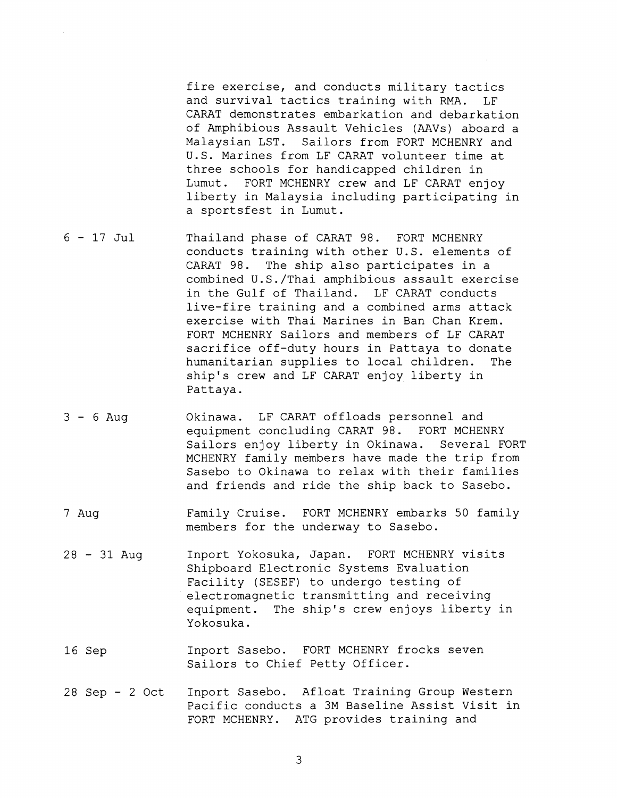fire exercise, and conducts military tactics and survival tactics training with RMA. LF CARAT demonstrates embarkation and debarkation of Amphibious Assault Vehicles (AAVs) aboard a Malaysian LST. Sailors from FORT MCHENRY and U.S. Marines from LF CARAT volunteer time at three schools for handicapped children in Lumut. FORT MCHENRY crew and LF CARAT enjoy liberty in Malaysia including participating in a sportsfest in Lumut.

- <sup>6</sup> 17 Jul Thailand phase of CARAT 98. FORT MCHENRY conducts training with other U.S. elements of CARAT 98. The ship also participates in a combined U.S./Thai amphibious assault exercise in the Gulf of Thailand. LF CARAT conducts live-fire training and a combined arms attack exercise with Thai Marines in Ban Chan Krem. FORT MCHENRY Sailors and members of LF CARAT sacrifice off-duty hours in Pattaya to donate humanitarian supplies to local children. The ship's crew and LF CARAT enjoy liberty in Pattaya.
- <sup>3</sup> 6 Aug Okinawa. LF CARAT offloads personnel and equipment concluding CARAT 98. FORT MCHENRY Sailors enjoy liberty in Okinawa. Several FORT MCHENRY family members have made the trip from Sasebo to Okinawa to relax with their families and friends and ride the ship back to Sasebo.
- 7 Aug Family Cruise. FORT MCHENRY embarks 50 family members for the underway to Sasebo.
- <sup>28</sup> 31 Aug Inport Yokosuka, Japan. FORT MCHENRY visits Shipboard Electronic Systems Evaluation Facility (SESEF) to undergo testing of electromagnetic transmitting and receiving equipment. The ship's crew enjoys liberty in Yokosuka.
- 16 Sep Inport Sasebo. FORT MCHENRY frocks seven Sailors to Chief Petty Officer.
- 28 Sep 2 Oct Inport Sasebo. Afloat Training Group Western Pacific conducts a 3M Baseline Assist Visit in FORT MCHENRY. ATG provides training and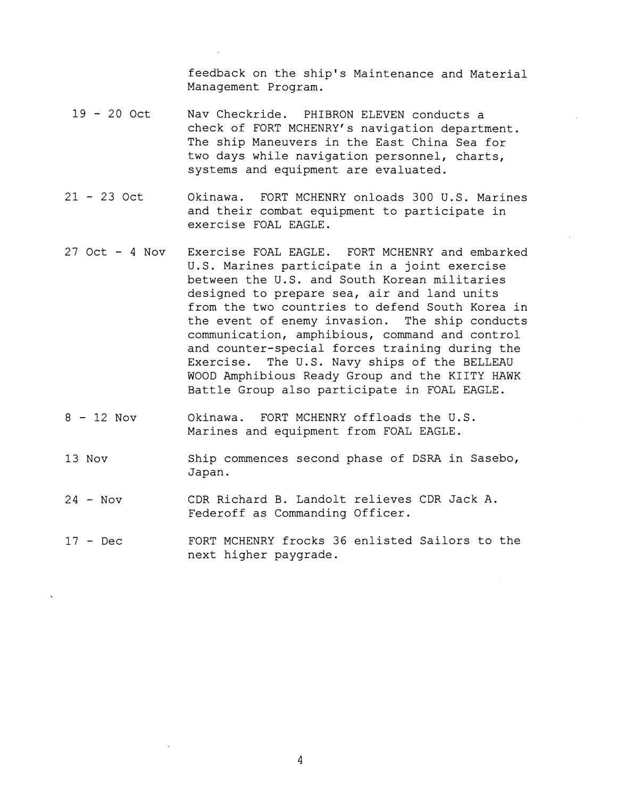feedback on the ship's Maintenance and Material Management Program.

- $19 20$  Oct Nav Checkride. PHIBRON ELEVEN conducts a check of FORT MCHENRY's navigation department. The ship Maneuvers in the East China Sea for two days while navigation personnel, charts, systems and equipment are evaluated.
- <sup>21</sup> 23 Oct Okinawa. FORT MCHENRY onloads 300 U.S. Marines and their combat equipment to participate in exercise FOAL EAGLE.
- 27 Oct 4 Nov Exercise FOAL EAGLE. FORT MCHENRY and embarked U.S. Marines participate in a joint exercise between the U.S. and South Korean militaries designed to prepare sea, air and land units from the two countries to defend South Korea in the event of enemy invasion. The ship conducts communication, amphibious, command and control and counter-special forces training during the Exercise. The U.S. Navy ships of the BELLEAU WOOD Amphibious Ready Group and the KIITY HAWK Battle Group also participate in FOAL EAGLE.
- $8 12$  Nov Okinawa. FORT MCHENRY offloads the U.S. Marines and equipment from FOAL EAGLE.
- 13 Nov Ship commences second phase of DSRA in Sasebo, Japan.
- <sup>24</sup> Nov CDR Richard B. Landolt relieves CDR Jack A. Federoff as Commanding Officer.
- <sup>17</sup> Dec FORT MCHENRY frocks 36 enlisted Sailors to the next higher paygrade.

 $\overline{4}$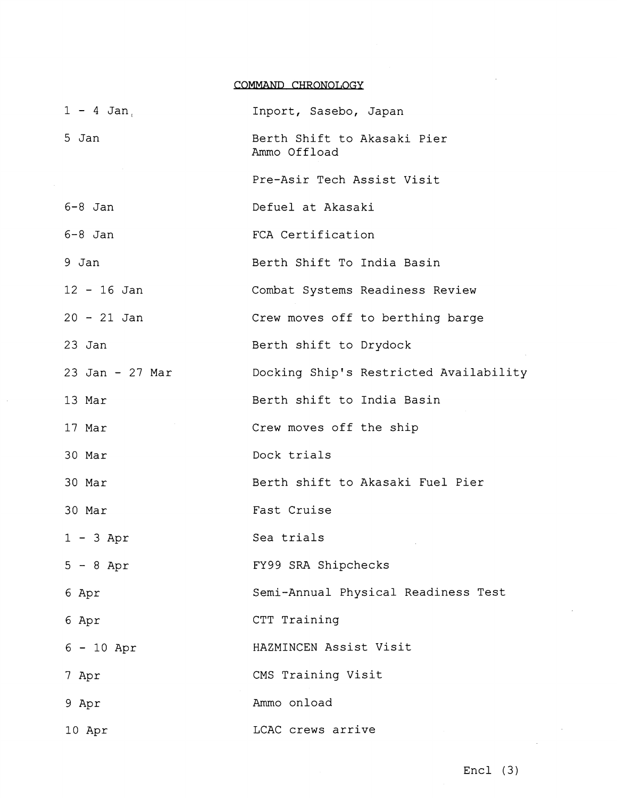## COMMAND CHRONOLOGY

| $1 - 4$ Jan.    | Inport, Sasebo, Japan                       |
|-----------------|---------------------------------------------|
| 5 Jan           | Berth Shift to Akasaki Pier<br>Ammo Offload |
|                 | Pre-Asir Tech Assist Visit                  |
| $6-8$ Jan       | Defuel at Akasaki                           |
| $6-8$ Jan       | FCA Certification                           |
| 9 Jan           | Berth Shift To India Basin                  |
| $12 - 16$ Jan   | Combat Systems Readiness Review             |
| $20 - 21$ Jan   | Crew moves off to berthing barge            |
| 23 Jan          | Berth shift to Drydock                      |
| 23 Jan - 27 Mar | Docking Ship's Restricted Availability      |
| 13 Mar          | Berth shift to India Basin                  |
| 17 Mar          | Crew moves off the ship                     |
| 30 Mar          | Dock trials                                 |
| 30 Mar          | Berth shift to Akasaki Fuel Pier            |
| 30 Mar          | Fast Cruise                                 |
| $1 - 3$ Apr     | Sea trials                                  |
| $5 - 8$ Apr     | FY99 SRA Shipchecks                         |
| 6 Apr           | Semi-Annual Physical Readiness Test         |
| 6 Apr           | CTT Training                                |
| $6 - 10$ Apr    | HAZMINCEN Assist Visit                      |
| 7 Apr           | CMS Training Visit                          |
| 9 Apr           | Ammo onload                                 |
| 10 Apr          | LCAC crews arrive                           |

 $\mathcal{A}^{\pm}$ 

 $\alpha$ 

 $\mathcal{L}_{\text{max}}$ 

 $\sim$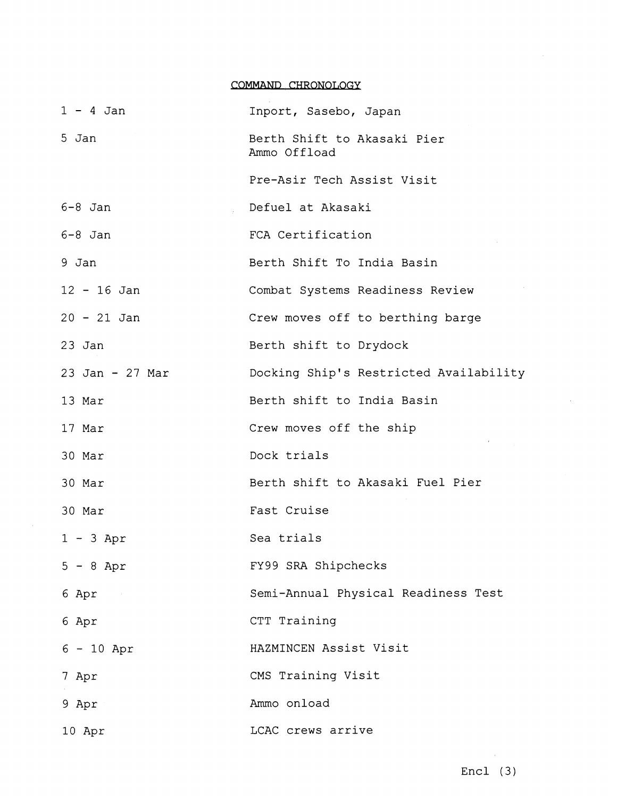|                         | COMMAND CHRONOLOGY                          |
|-------------------------|---------------------------------------------|
| $1 - 4$ Jan             | Inport, Sasebo, Japan                       |
| 5 Jan                   | Berth Shift to Akasaki Pier<br>Ammo Offload |
|                         | Pre-Asir Tech Assist Visit                  |
| $6-8$ Jan               | Defuel at Akasaki                           |
| $6-8$ Jan               | FCA Certification                           |
| 9 Jan                   | Berth Shift To India Basin                  |
| $12 - 16$ Jan           | Combat Systems Readiness Review             |
| $20 - 21$ Jan           | Crew moves off to berthing barge            |
| $23$ Jan                | Berth shift to Drydock                      |
| 23 Jan - 27 Mar         | Docking Ship's Restricted Availability      |
| 13 Mar                  | Berth shift to India Basin                  |
| 17 Mar                  | Crew moves off the ship                     |
| 30 Mar                  | Dock trials                                 |
| 30 Mar                  | Berth shift to Akasaki Fuel Pier            |
| 30 Mar                  | Fast Cruise                                 |
| $1 - 3$ Apr             | Sea trials                                  |
| $5 - 8$ Apr             | FY99 SRA Shipchecks                         |
| 6 Apr<br>$\sim 10^{11}$ | Semi-Annual Physical Readiness Test         |
| 6 Apr                   | CTT Training                                |
| $6 - 10$ Apr            | HAZMINCEN Assist Visit                      |
| 7 Apr                   | CMS Training Visit                          |
| 9 Apr                   | Ammo onload                                 |
| 10 Apr                  | LCAC crews arrive                           |

 $\sim$   $\sim$ 

 $\sim$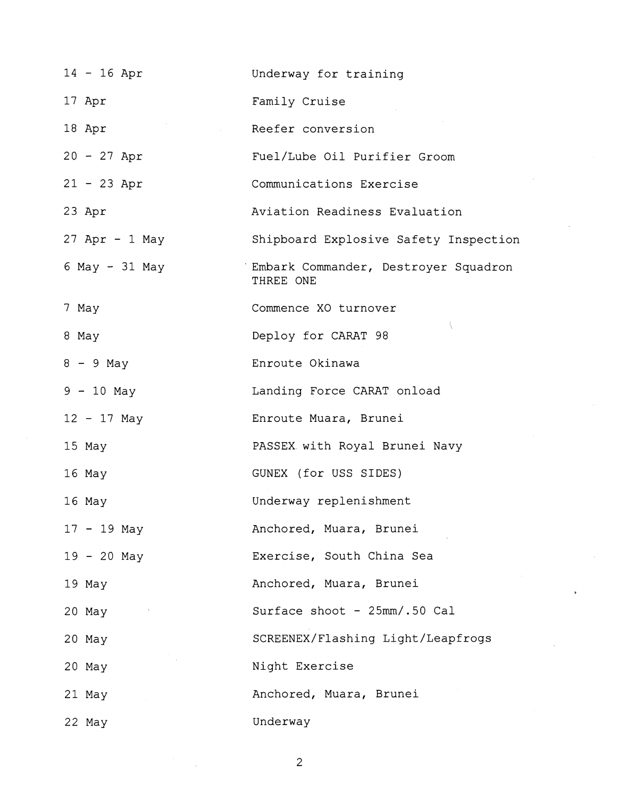| $14 - 16$ Apr    | Underway for training                             |
|------------------|---------------------------------------------------|
| 17 Apr           | Family Cruise                                     |
| 18 Apr           | Reefer conversion                                 |
| $20 - 27$ Apr    | Fuel/Lube Oil Purifier Groom                      |
| $21 - 23$ Apr    | Communications Exercise                           |
| 23 Apr           | Aviation Readiness Evaluation                     |
| $27$ Apr - 1 May | Shipboard Explosive Safety Inspection             |
| 6 May - 31 May   | Embark Commander, Destroyer Squadron<br>THREE ONE |
| 7 May            | Commence XO turnover                              |
| 8 May            | j.<br>Deploy for CARAT 98                         |
| $8 - 9$ May      | Enroute Okinawa                                   |
| $9 - 10$ May     | Landing Force CARAT onload                        |
| $12 - 17$ May    | Enroute Muara, Brunei                             |
| 15 May           | PASSEX with Royal Brunei Navy                     |
| 16 May           | GUNEX (for USS SIDES)                             |
| 16 May           | Underway replenishment                            |
| $17 - 19$ May    | Anchored, Muara, Brunei                           |
| $19 - 20$ May    | Exercise, South China Sea                         |
| 19 May           | Anchored, Muara, Brunei                           |
| 20 May           | Surface shoot - 25mm/.50 Cal                      |
| 20 May           | SCREENEX/Flashing Light/Leapfrogs                 |
| 20 May           | Night Exercise                                    |
| 21 May           | Anchored, Muara, Brunei                           |
| 22 May           | Underway                                          |

 $\frac{1}{2}$ 

 $\frac{1}{2} \sum_{i=1}^{n} \frac{1}{2} \sum_{j=1}^{n} \frac{1}{2} \sum_{j=1}^{n} \frac{1}{2} \sum_{j=1}^{n} \frac{1}{2} \sum_{j=1}^{n} \frac{1}{2} \sum_{j=1}^{n} \frac{1}{2} \sum_{j=1}^{n} \frac{1}{2} \sum_{j=1}^{n} \frac{1}{2} \sum_{j=1}^{n} \frac{1}{2} \sum_{j=1}^{n} \frac{1}{2} \sum_{j=1}^{n} \frac{1}{2} \sum_{j=1}^{n} \frac{1}{2} \sum_{j=1}^{n$ 

 $\overline{c}$ 

 $\label{eq:2.1} \begin{split} \mathcal{L}_{\text{max}}(\mathbf{r}) = \mathcal{L}_{\text{max}}(\mathbf{r}) \mathcal{L}_{\text{max}}(\mathbf{r}) \,, \end{split}$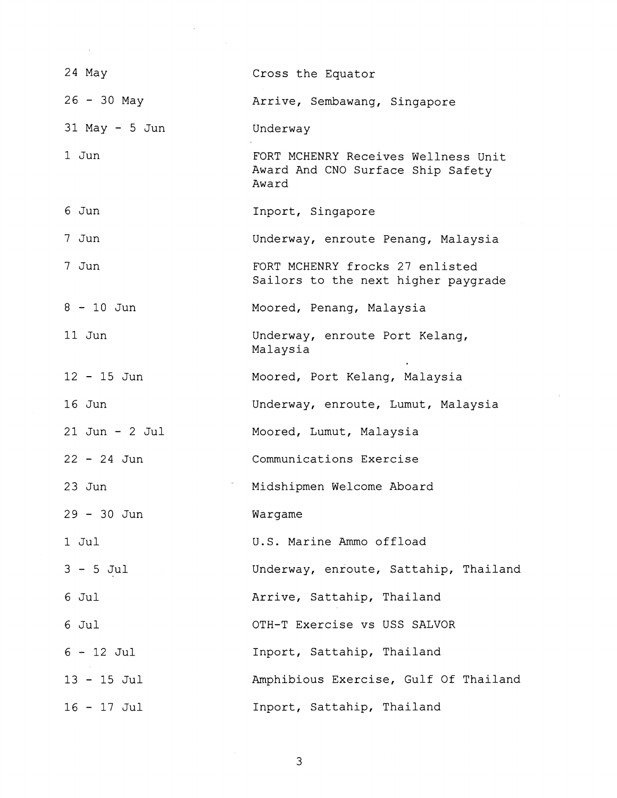| 24 May             | Cross the Equator                                                                 |
|--------------------|-----------------------------------------------------------------------------------|
| $26 - 30$ May      | Arrive, Sembawang, Singapore                                                      |
| $31$ May - 5 Jun   | Underway                                                                          |
| 1 Jun              | FORT MCHENRY Receives Wellness Unit<br>Award And CNO Surface Ship Safety<br>Award |
| 6 Jun              | Inport, Singapore                                                                 |
| 7 Jun              | Underway, enroute Penang, Malaysia                                                |
| 7 Jun              | FORT MCHENRY frocks 27 enlisted<br>Sailors to the next higher paygrade            |
| $8 - 10$ Jun       | Moored, Penang, Malaysia                                                          |
| 11 Jun             | Underway, enroute Port Kelang,<br>Malaysia                                        |
| $12 - 15$ Jun      | Moored, Port Kelang, Malaysia                                                     |
| $16$ Jun           | Underway, enroute, Lumut, Malaysia                                                |
| $21$ Jun - $2$ Jul | Moored, Lumut, Malaysia                                                           |
| $22 - 24$ Jun      | Communications Exercise                                                           |
| $23$ Jun           | Midshipmen Welcome Aboard                                                         |
| 29 - 30 Jun        | Wargame                                                                           |
| $1$ Jul            | U.S. Marine Ammo offload                                                          |
| $3 - 5$ Jul        | Underway, enroute, Sattahip, Thailand                                             |
| 6 Jul              | Arrive, Sattahip, Thailand                                                        |
| 6 Jul              | OTH-T Exercise vs USS SALVOR                                                      |
| $6 - 12$ Jul       | Inport, Sattahip, Thailand                                                        |
| $13 - 15$ Jul      | Amphibious Exercise, Gulf Of Thailand                                             |
| $16 - 17$ Jul      | Inport, Sattahip, Thailand                                                        |

 $\label{eq:2.1} \frac{1}{\sqrt{2}}\left(\frac{1}{\sqrt{2}}\right)^{2} \left(\frac{1}{\sqrt{2}}\right)^{2} \left(\frac{1}{\sqrt{2}}\right)^{2} \left(\frac{1}{\sqrt{2}}\right)^{2} \left(\frac{1}{\sqrt{2}}\right)^{2} \left(\frac{1}{\sqrt{2}}\right)^{2} \left(\frac{1}{\sqrt{2}}\right)^{2} \left(\frac{1}{\sqrt{2}}\right)^{2} \left(\frac{1}{\sqrt{2}}\right)^{2} \left(\frac{1}{\sqrt{2}}\right)^{2} \left(\frac{1}{\sqrt{2}}\right)^{2} \left(\$ 

 $\label{eq:2.1} \mathcal{L}(\mathcal{L}^{\text{max}}_{\mathcal{L}}(\mathcal{L}^{\text{max}}_{\mathcal{L}})) \leq \mathcal{L}(\mathcal{L}^{\text{max}}_{\mathcal{L}}(\mathcal{L}^{\text{max}}_{\mathcal{L}}))$ 

 $\overline{3}$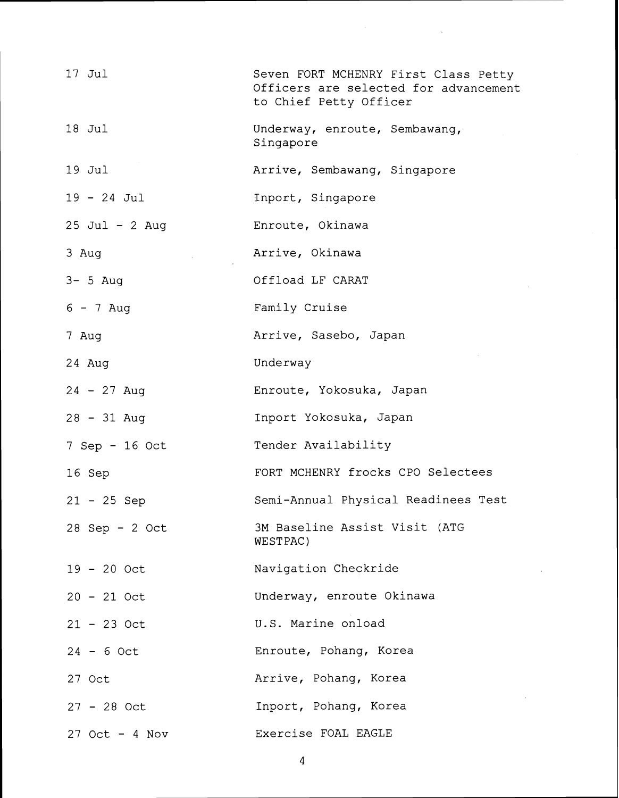| $17$ Jul         | Seven FORT MCHENRY First Class Petty<br>Officers are selected for advancement<br>to Chief Petty Officer |
|------------------|---------------------------------------------------------------------------------------------------------|
| $18$ Jul         | Underway, enroute, Sembawang,<br>Singapore                                                              |
| $19$ Jul         | Arrive, Sembawang, Singapore                                                                            |
| $19 - 24$ Jul    | Inport, Singapore                                                                                       |
| 25 Jul - 2 Aug   | Enroute, Okinawa                                                                                        |
| 3 Aug            | Arrive, Okinawa                                                                                         |
| $3 - 5$ Aug      | Offload LF CARAT                                                                                        |
| $6 - 7$ Aug      | Family Cruise                                                                                           |
| 7 Aug            | Arrive, Sasebo, Japan                                                                                   |
| 24 Aug           | Underway                                                                                                |
| $24 - 27$ Aug    | Enroute, Yokosuka, Japan                                                                                |
| $28 - 31$ Aug    | Inport Yokosuka, Japan                                                                                  |
| 7 Sep - 16 Oct   | Tender Availability                                                                                     |
| 16 Sep           | FORT MCHENRY frocks CPO Selectees                                                                       |
| $21 - 25$ Sep    | Semi-Annual Physical Readinees Test                                                                     |
| $28$ Sep - 2 Oct | 3M Baseline Assist Visit (ATG<br>WESTPAC)                                                               |
| $19 - 20$ Oct    | Navigation Checkride                                                                                    |
| $20 - 21$ Oct    | Underway, enroute Okinawa                                                                               |
| $21 - 23$ Oct    | U.S. Marine onload                                                                                      |
| $24 - 6$ Oct     | Enroute, Pohang, Korea                                                                                  |
| 27 Oct           | Arrive, Pohang, Korea                                                                                   |
| $27 - 28$ Oct    | Inport, Pohang, Korea                                                                                   |
| $27$ Oct - 4 Nov | Exercise FOAL EAGLE                                                                                     |

 $\label{eq:2.1} \frac{1}{\sqrt{2\pi}}\int_{\mathbb{R}^3}\frac{d\mu}{\sqrt{2\pi}}\left(\frac{d\mu}{\mu}\right)^2\frac{d\mu}{\sqrt{2\pi}}\int_{\mathbb{R}^3}\frac{d\mu}{\sqrt{2\pi}}\frac{d\mu}{\sqrt{2\pi}}\frac{d\mu}{\sqrt{2\pi}}\frac{d\mu}{\sqrt{2\pi}}\frac{d\mu}{\sqrt{2\pi}}\frac{d\mu}{\sqrt{2\pi}}\frac{d\mu}{\sqrt{2\pi}}\frac{d\mu}{\sqrt{2\pi}}\frac{d\mu}{\sqrt{2\pi}}\frac{d\mu}{\$ 

 $\overline{4}$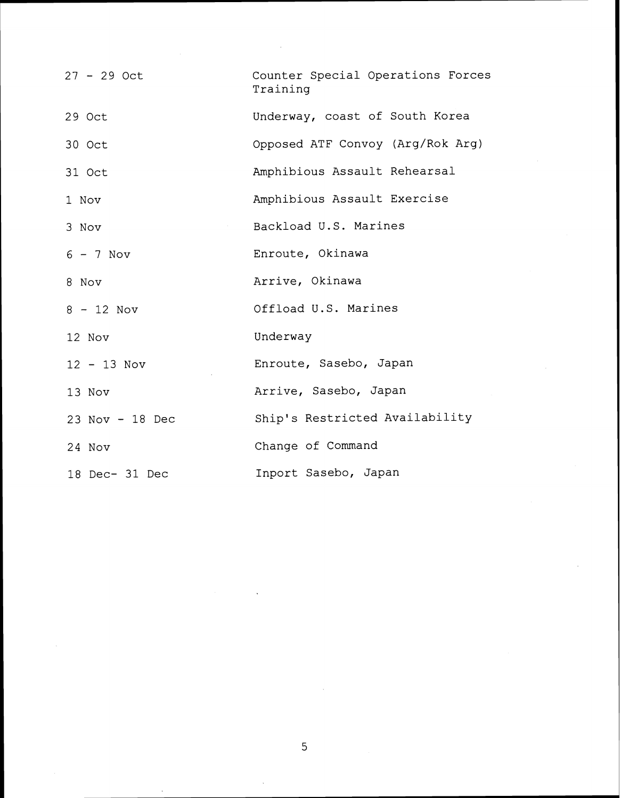| $27 - 29$ Oct   | Counter Special Operations Forces<br>Training |
|-----------------|-----------------------------------------------|
| 29 Oct          | Underway, coast of South Korea                |
| 30 Oct          | Opposed ATF Convoy (Arg/Rok Arg)              |
| 31 Oct          | Amphibious Assault Rehearsal                  |
| 1 Nov           | Amphibious Assault Exercise                   |
| 3 Nov           | Backload U.S. Marines                         |
| $6 - 7$ Nov     | Enroute, Okinawa                              |
| 8 Nov           | Arrive, Okinawa                               |
| $8 - 12$ Nov    | Offload U.S. Marines                          |
| 12 Nov          | Underway                                      |
| $12 - 13$ Nov   | Enroute, Sasebo, Japan                        |
| 13 Nov          | Arrive, Sasebo, Japan                         |
| 23 Nov - 18 Dec | Ship's Restricted Availability                |
| 24 Nov          | Change of Command                             |
| 18 Dec- 31 Dec  | Inport Sasebo, Japan                          |

 $\overline{5}$